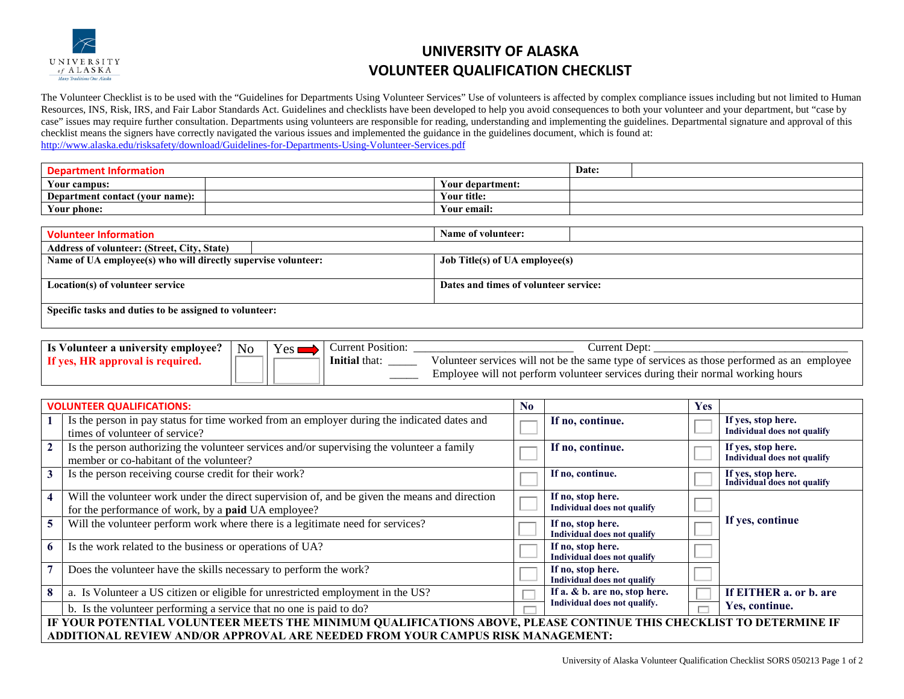

## **UNIVERSITY OF ALASKA VOLUNTEER QUALIFICATION CHECKLIST**

The Volunteer Checklist is to be used with the "Guidelines for Departments Using Volunteer Services" Use of volunteers is affected by complex compliance issues including but not limited to Human Resources, INS, Risk, IRS, and Fair Labor Standards Act. Guidelines and checklists have been developed to help you avoid consequences to both your volunteer and your department, but "case by case" issues may require further consultation. Departments using volunteers are responsible for reading, understanding and implementing the guidelines. Departmental signature and approval of this checklist means the signers have correctly navigated the various issues and implemented the guidance in the guidelines document, which is found at: <http://www.alaska.edu/risksafety/download/Guidelines-for-Departments-Using-Volunteer-Services.pdf>

| Depart<br>rmatioi               |  | Date:            |  |  |
|---------------------------------|--|------------------|--|--|
| Your campus:                    |  | Your department: |  |  |
| Department contact (your name): |  | Your title:      |  |  |
| Your phone:                     |  | <br>Your email:  |  |  |

| <b>Volunteer Information</b>                                  | Name of volunteer:                    |  |  |  |  |
|---------------------------------------------------------------|---------------------------------------|--|--|--|--|
| <b>Address of volunteer: (Street, City, State)</b>            |                                       |  |  |  |  |
| Name of UA employee(s) who will directly supervise volunteer: | <b>Job Title(s) of UA employee(s)</b> |  |  |  |  |
|                                                               |                                       |  |  |  |  |
| Location(s) of volunteer service                              | Dates and times of volunteer service: |  |  |  |  |
|                                                               |                                       |  |  |  |  |
| Specific tasks and duties to be assigned to volunteer:        |                                       |  |  |  |  |
|                                                               |                                       |  |  |  |  |

| Is Volunteer a university employee? | N <sub>0</sub> | Jurrent Position: | Dept                                                                                       |
|-------------------------------------|----------------|-------------------|--------------------------------------------------------------------------------------------|
|                                     |                | Initial that:     | Volunteer services will not be the same type of services as those performed as an employee |
|                                     |                |                   | Employee will not perform volunteer services during their normal working hours             |

|                                                                                                                    | <b>VOLUNTEER QUALIFICATIONS:</b>                                                                                                                            | $\bf No$ |                                                                             | <b>Yes</b> |                                                          |
|--------------------------------------------------------------------------------------------------------------------|-------------------------------------------------------------------------------------------------------------------------------------------------------------|----------|-----------------------------------------------------------------------------|------------|----------------------------------------------------------|
|                                                                                                                    | Is the person in pay status for time worked from an employer during the indicated dates and<br>times of volunteer of service?                               |          | If no, continue.                                                            |            | If yes, stop here.<br><b>Individual does not qualify</b> |
| $\mathbf{2}$                                                                                                       | Is the person authorizing the volunteer services and/or supervising the volunteer a family<br>member or co-habitant of the volunteer?                       |          | If no, continue.                                                            |            | If yes, stop here.<br>Individual does not qualify        |
|                                                                                                                    | Is the person receiving course credit for their work?                                                                                                       |          | If no, continue.                                                            |            | If yes, stop here.<br>Individual does not qualify        |
|                                                                                                                    | Will the volunteer work under the direct supervision of, and be given the means and direction<br>for the performance of work, by a <b>paid</b> UA employee? |          | If no, stop here.<br><b>Individual does not qualify</b>                     |            |                                                          |
|                                                                                                                    | Will the volunteer perform work where there is a legitimate need for services?                                                                              |          | If yes, continue<br>If no, stop here.<br><b>Individual does not qualify</b> |            |                                                          |
| 6                                                                                                                  | Is the work related to the business or operations of UA?                                                                                                    |          | If no, stop here.<br><b>Individual does not qualify</b>                     |            |                                                          |
|                                                                                                                    | Does the volunteer have the skills necessary to perform the work?                                                                                           |          | If no, stop here.<br>Individual does not qualify                            |            |                                                          |
|                                                                                                                    | a. Is Volunteer a US citizen or eligible for unrestricted employment in the US?                                                                             |          | If a. $& b$ . are no, stop here.                                            |            | If EITHER a. or b. are                                   |
|                                                                                                                    | b. Is the volunteer performing a service that no one is paid to do?                                                                                         |          | Individual does not qualify.<br>Yes, continue.                              |            |                                                          |
| IF YOUR POTENTIAL VOLUNTEER MEETS THE MINIMUM QUALIFICATIONS ABOVE, PLEASE CONTINUE THIS CHECKLIST TO DETERMINE IF |                                                                                                                                                             |          |                                                                             |            |                                                          |
| ADDITIONAL REVIEW AND/OR APPROVAL ARE NEEDED FROM YOUR CAMPUS RISK MANAGEMENT:                                     |                                                                                                                                                             |          |                                                                             |            |                                                          |